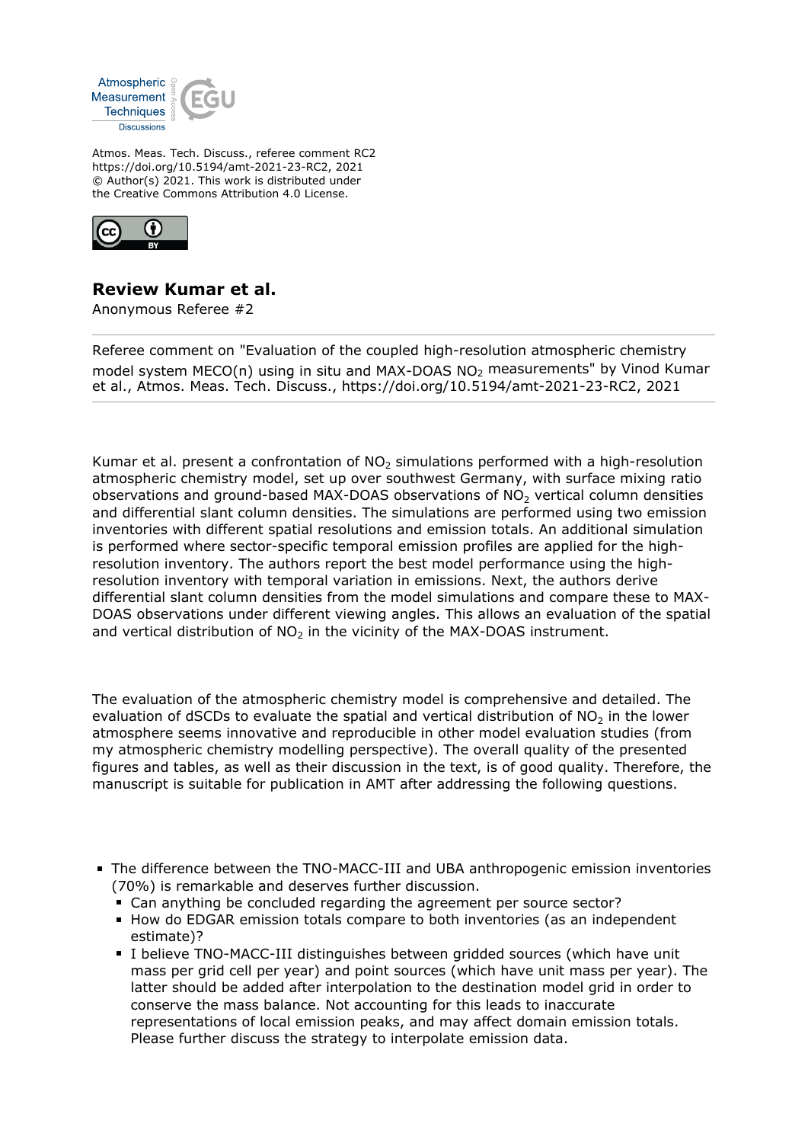

Atmos. Meas. Tech. Discuss., referee comment RC2 https://doi.org/10.5194/amt-2021-23-RC2, 2021 © Author(s) 2021. This work is distributed under the Creative Commons Attribution 4.0 License.



## **Review Kumar et al.**

Anonymous Referee #2

Referee comment on "Evaluation of the coupled high-resolution atmospheric chemistry model system MECO(n) using in situ and MAX-DOAS NO2 measurements" by Vinod Kumar et al., Atmos. Meas. Tech. Discuss., https://doi.org/10.5194/amt-2021-23-RC2, 2021

Kumar et al. present a confrontation of  $NO<sub>2</sub>$  simulations performed with a high-resolution atmospheric chemistry model, set up over southwest Germany, with surface mixing ratio observations and ground-based MAX-DOAS observations of  $NO<sub>2</sub>$  vertical column densities and differential slant column densities. The simulations are performed using two emission inventories with different spatial resolutions and emission totals. An additional simulation is performed where sector-specific temporal emission profiles are applied for the highresolution inventory. The authors report the best model performance using the highresolution inventory with temporal variation in emissions. Next, the authors derive differential slant column densities from the model simulations and compare these to MAX-DOAS observations under different viewing angles. This allows an evaluation of the spatial and vertical distribution of  $NO<sub>2</sub>$  in the vicinity of the MAX-DOAS instrument.

The evaluation of the atmospheric chemistry model is comprehensive and detailed. The evaluation of dSCDs to evaluate the spatial and vertical distribution of  $NO<sub>2</sub>$  in the lower atmosphere seems innovative and reproducible in other model evaluation studies (from my atmospheric chemistry modelling perspective). The overall quality of the presented figures and tables, as well as their discussion in the text, is of good quality. Therefore, the manuscript is suitable for publication in AMT after addressing the following questions.

- The difference between the TNO-MACC-III and UBA anthropogenic emission inventories (70%) is remarkable and deserves further discussion.
	- Can anything be concluded regarding the agreement per source sector?
	- How do EDGAR emission totals compare to both inventories (as an independent estimate)?
	- I believe TNO-MACC-III distinguishes between gridded sources (which have unit mass per grid cell per year) and point sources (which have unit mass per year). The latter should be added after interpolation to the destination model grid in order to conserve the mass balance. Not accounting for this leads to inaccurate representations of local emission peaks, and may affect domain emission totals. Please further discuss the strategy to interpolate emission data.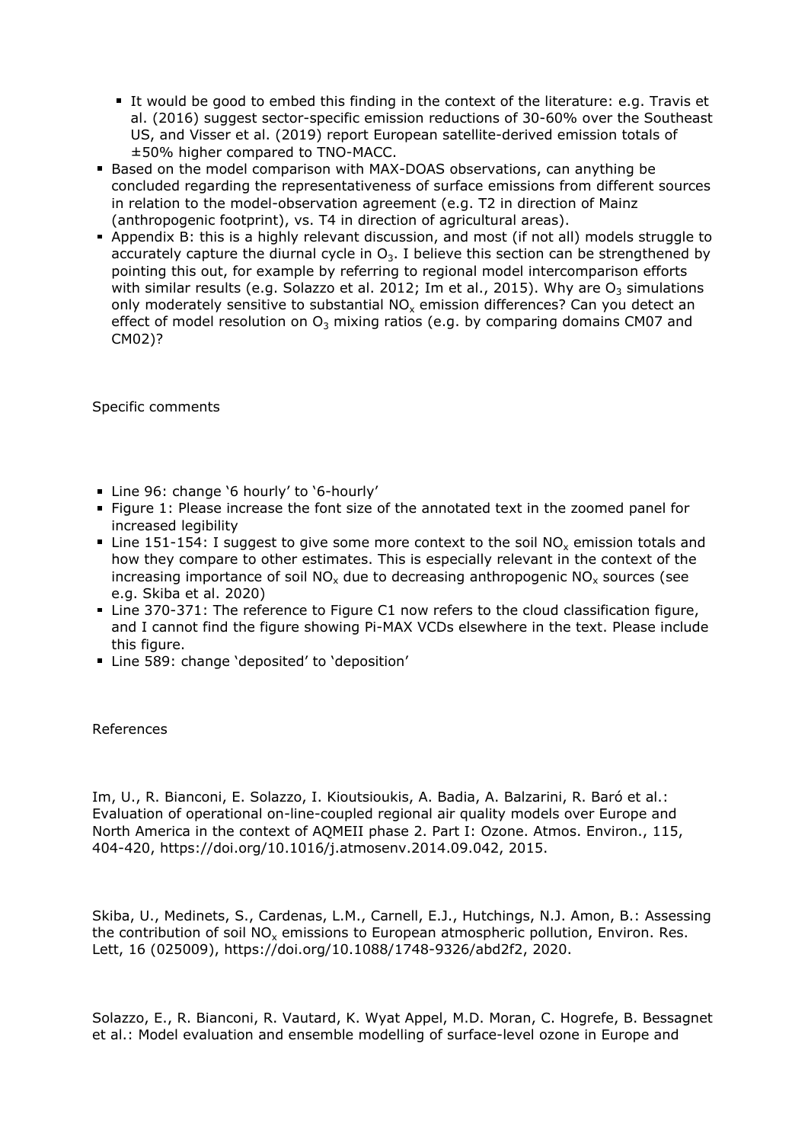- It would be good to embed this finding in the context of the literature: e.g. Travis et al. (2016) suggest sector-specific emission reductions of 30-60% over the Southeast US, and Visser et al. (2019) report European satellite-derived emission totals of ±50% higher compared to TNO-MACC.
- Based on the model comparison with MAX-DOAS observations, can anything be concluded regarding the representativeness of surface emissions from different sources in relation to the model-observation agreement (e.g. T2 in direction of Mainz (anthropogenic footprint), vs. T4 in direction of agricultural areas).
- Appendix B: this is a highly relevant discussion, and most (if not all) models struggle to accurately capture the diurnal cycle in  $O_3$ . I believe this section can be strengthened by pointing this out, for example by referring to regional model intercomparison efforts with similar results (e.g. Solazzo et al. 2012; Im et al., 2015). Why are  $O_3$  simulations only moderately sensitive to substantial NO<sub>x</sub> emission differences? Can you detect an effect of model resolution on  $O_3$  mixing ratios (e.g. by comparing domains CM07 and CM02)?

Specific comments

- Line 96: change '6 hourly' to '6-hourly'
- Figure 1: Please increase the font size of the annotated text in the zoomed panel for increased legibility
- Line 151-154: I suggest to give some more context to the soil NO<sub>x</sub> emission totals and how they compare to other estimates. This is especially relevant in the context of the increasing importance of soil NO<sub>x</sub> due to decreasing anthropogenic NO<sub>x</sub> sources (see e.g. Skiba et al. 2020)
- Line 370-371: The reference to Figure C1 now refers to the cloud classification figure, and I cannot find the figure showing Pi-MAX VCDs elsewhere in the text. Please include this figure.
- Line 589: change 'deposited' to 'deposition'

References

Im, U., R. Bianconi, E. Solazzo, I. Kioutsioukis, A. Badia, A. Balzarini, R. Baró et al.: Evaluation of operational on-line-coupled regional air quality models over Europe and North America in the context of AQMEII phase 2. Part I: Ozone. Atmos. Environ., 115, 404-420, https://doi.org/10.1016/j.atmosenv.2014.09.042, 2015.

Skiba, U., Medinets, S., Cardenas, L.M., Carnell, E.J., Hutchings, N.J. Amon, B.: Assessing the contribution of soil NO<sub>x</sub> emissions to European atmospheric pollution, Environ. Res. Lett, 16 (025009), https://doi.org/10.1088/1748-9326/abd2f2, 2020.

Solazzo, E., R. Bianconi, R. Vautard, K. Wyat Appel, M.D. Moran, C. Hogrefe, B. Bessagnet et al.: Model evaluation and ensemble modelling of surface-level ozone in Europe and